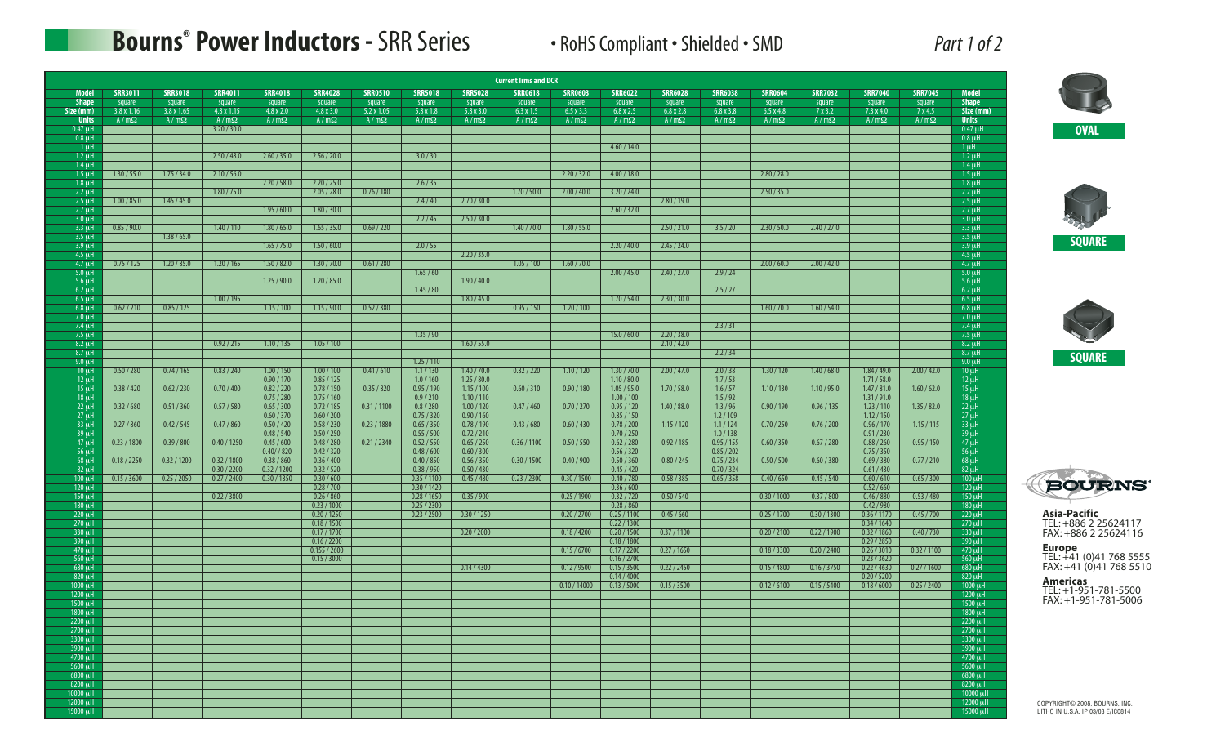## **Bourns ® Power Inductors -** SRR Series • RoHS Compliant • Shielded • SMD *Part 1 of 2*

| Part 1 of |  |
|-----------|--|
|           |  |

|                            |                             |                             |                                  |                            |                             |                                  |                            |                            | <b>Current Irms and DCR</b> |                   |                            |                            |                            |                   |                      |                            |                 |                            |
|----------------------------|-----------------------------|-----------------------------|----------------------------------|----------------------------|-----------------------------|----------------------------------|----------------------------|----------------------------|-----------------------------|-------------------|----------------------------|----------------------------|----------------------------|-------------------|----------------------|----------------------------|-----------------|----------------------------|
| <b>Model</b>               | <b>SRR3011</b>              | <b>SRR3018</b>              | <b>SRR4011</b>                   | <b>SRR4018</b>             | <b>SRR4028</b>              | <b>SRR0510</b>                   | <b>SRR5018</b>             | <b>SRR5028</b>             | <b>SRR0618</b>              | <b>SRR0603</b>    | <b>SRR6022</b>             | <b>SRR6028</b>             | <b>SRR6038</b>             | <b>SRR0604</b>    | <b>SRR7032</b>       | <b>SRR7040</b>             | <b>SRR7045</b>  | <b>Model</b>               |
| <b>Shape</b><br>Size (mm)  | square<br>$3.8 \times 1.16$ | square<br>$3.8 \times 1.65$ | $\frac{square}{4.8 \times 1.15}$ | square<br>$4.8 \times 2.0$ | square<br>$4.8 \times 3.0$  | $\frac{square}{5.2 \times 1.05}$ | square<br>$5.8 \times 1.8$ | square<br>$5.8 \times 3.0$ | square<br>$6.3 \times 1.5$  | square<br>6.5x3.3 | square<br>$6.8 \times 2.5$ | square<br>$6.8 \times 2.8$ | square<br>$6.8 \times 3.8$ | square<br>6.5x4.8 | $rac{square}{7x3.2}$ | square<br>$7.3 \times 4.0$ | square<br>7x4.5 | Shape<br>Size (mm)         |
| <b>Units</b>               | $A/m\Omega$                 | $A/m\Omega$                 | $A/m\Omega$                      | $A/m\Omega$                | $A/m\Omega$                 | $A/m\Omega$                      | $A/m\Omega$                | $A/m\Omega$                | $A/m\Omega$                 | $A/m\Omega$       | $A/m\Omega$                | $A/m\Omega$                | $A/m\Omega$                | $A/m\Omega$       | $A/m\Omega$          | $A/m\Omega$                | $A/m\Omega$     | <b>Units</b>               |
| $0.47 \mu H$               |                             |                             | 3.20 / 30.0                      |                            |                             |                                  |                            |                            |                             |                   |                            |                            |                            |                   |                      |                            |                 | $0.47 \mu$ H               |
| $0.8 \mu H$<br>$1 \mu$ H   |                             |                             |                                  |                            |                             |                                  |                            |                            |                             |                   | 4.60 / 14.0                |                            |                            |                   |                      |                            |                 | $0.8 \mu H$<br>$1 \mu$ H   |
| $1.2$ uH                   |                             |                             | 2.50 / 48.0                      | 2.60 / 35.0                | 2.56 / 20.0                 |                                  | 3.0 / 30                   |                            |                             |                   |                            |                            |                            |                   |                      |                            |                 | $1.2 \mu$ H                |
| $1.4 \mathrm{uH}$          |                             |                             |                                  |                            |                             |                                  |                            |                            |                             |                   |                            |                            |                            |                   |                      |                            |                 | $1.4 \mu$ H                |
| $1.5$ uH<br>$1.8$ uH       | 1.30 / 55.0                 | 1.75 / 34.0                 | 2.10 / 56.0                      |                            | 2.20 / 25.0                 |                                  |                            |                            |                             | 2.20 / 32.0       | 4.00 / 18.0                |                            |                            | 2.80 / 28.0       |                      |                            |                 | $1.5$ uH                   |
| $2.2 \mu H$                |                             |                             | 1.80 / 75.0                      | 2.20 / 58.0                | 2.05 / 28.0                 | 0.76 / 180                       | 2.6 / 35                   |                            | 1.70 / 50.0                 | 2.00 / 40.0       | 3.20 / 24.0                |                            |                            | 2.50 / 35.0       |                      |                            |                 | $1.8 \mu$ H<br>$2.2 \mu H$ |
| $2.5 \mu H$                | 1.00 / 85.0                 | 1.45 / 45.0                 |                                  |                            |                             |                                  | 2.4/40                     | 2.70 / 30.0                |                             |                   |                            | 2.80 / 19.0                |                            |                   |                      |                            |                 | $2.5 \mu H$                |
| $2.7 \text{ uH}$           |                             |                             |                                  | 1.95 / 60.0                | 1.80 / 30.0                 |                                  |                            |                            |                             |                   | 2.60 / 32.0                |                            |                            |                   |                      |                            |                 | $2.7 \mu$ H                |
| $3.0 \mu H$<br>$3.3 \mu H$ | 0.85 / 90.0                 |                             | 1.40 / 110                       | 1.80 / 65.0                | 1.65 / 35.0                 | 0.69 / 220                       | 2.2 / 45                   | 2.50 / 30.0                | 1.40 / 70.0                 | 1.80 / 55.0       |                            | 2.50 / 21.0                | 3.5/20                     | 2.30 / 50.0       | 2.40 / 27.0          |                            |                 | $3.0 \mu$ H<br>$3.3 \mu H$ |
| $3.5 \mu H$                |                             | 1.38 / 65.0                 |                                  |                            |                             |                                  |                            |                            |                             |                   |                            |                            |                            |                   |                      |                            |                 | $3.5 \mu H$                |
| $3.9 \mu H$                |                             |                             |                                  | 1.65 / 75.0                | 1.50 / 60.0                 |                                  | 2.0 / 55                   |                            |                             |                   | 2.20 / 40.0                | 2.45 / 24.0                |                            |                   |                      |                            |                 | $3.9 \mu H$                |
| 4.5 uH<br>$4.7 \mu H$      | 0.75/125                    | 1.20 / 85.0                 | 1.20 / 165                       | 1.50 / 82.0                | 1.30 / 70.0                 | 0.61 / 280                       |                            | 2.20 / 35.0                | 1.05/100                    | 1.60 / 70.0       |                            |                            |                            | 2.00 / 60.0       | 2.00 / 42.0          |                            |                 | $4.5 \mu$ H<br>$4.7 \mu$ H |
| $5.0$ uH                   |                             |                             |                                  |                            |                             |                                  | 1.65/60                    |                            |                             |                   | 2.00 / 45.0                | 2.40 / 27.0                | 2.9/24                     |                   |                      |                            |                 | $5.0 \mu$ H                |
| $5.6 \mu H$                |                             |                             |                                  | 1.25/90.0                  | 1.20 / 85.0                 |                                  |                            | 1.90 / 40.0                |                             |                   |                            |                            |                            |                   |                      |                            |                 | $5.6 \mu H$                |
| $6.2 \mu H$                |                             |                             |                                  |                            |                             |                                  | 1.45 / 80                  |                            |                             |                   |                            |                            | 2.5/27                     |                   |                      |                            |                 | $6.2 \mu$ H                |
| $6.5 \mu H$<br>$6.8 \mu H$ | 0.62 / 210                  | 0.85 / 125                  | 1.00 / 195                       | 1.15/100                   | 1.15/90.0                   | 0.52 / 380                       |                            | 1.80 / 45.0                | 0.95 / 150                  | 1.20 / 100        | 1.70 / 54.0                | 2.30 / 30.0                |                            | 1.60 / 70.0       | 1.60 / 54.0          |                            |                 | $6.5 \mu H$<br>$6.8 \mu H$ |
| $7.0 \mu H$                |                             |                             |                                  |                            |                             |                                  |                            |                            |                             |                   |                            |                            |                            |                   |                      |                            |                 | $7.0 \mu$ H                |
| $7.4 \mu H$                |                             |                             |                                  |                            |                             |                                  |                            |                            |                             |                   |                            |                            | 2.3 / 31                   |                   |                      |                            |                 | $7.4 \mu H$                |
| $7.5 \mu H$<br>$8.2 \mu H$ |                             |                             | 0.92 / 215                       | 1.10 / 135                 | 1.05 / 100                  |                                  | 1.35/90                    | 1.60 / 55.0                |                             |                   | 15.0 / 60.0                | 2.20 / 38.0<br>2.10 / 42.0 |                            |                   |                      |                            |                 | $7.5 \mu H$                |
| $8.7$ uH                   |                             |                             |                                  |                            |                             |                                  |                            |                            |                             |                   |                            |                            | 2.2 / 34                   |                   |                      |                            |                 | $8.2 \mu H$<br>$8.7 \mu H$ |
| $9.0 \mu H$                |                             |                             |                                  |                            |                             |                                  | 1.25/110                   |                            |                             |                   |                            |                            |                            |                   |                      |                            |                 | $9.0 \mu$ H                |
| 10 uH                      | 0.50 / 280                  | 0.74/165                    | 0.83 / 240                       | 1.00 / 150                 | 1.00 / 100                  | 0.41/610                         | 1.1 / 130                  | 1.40 / 70.0                | 0.82 / 220                  | 1.10 / 120        | 1.30 / 70.0                | 2.00 / 47.0                | 2.0 / 38                   | 1.30 / 120        | 1.40 / 68.0          | 1.84 / 49.0                | 2.00 / 42.0     | $10 \mu H$                 |
| $12 \mu H$<br>$15 \mu H$   | 0.38/420                    | 0.62 / 230                  | 0.70 / 400                       | 0.90 / 170<br>0.82 / 220   | 0.85 / 125<br>0.78 / 150    | 0.35 / 820                       | 1.0 / 160<br>0.95/190      | 1.25 / 80.0<br>1.15/100    | 0.60 / 310                  | 0.90 / 180        | 1.10 / 80.0<br>1.05 / 95.0 | 1.70 / 58.0                | 1.7/53<br>1.6 / 57         | 1.10 / 130        | 1.10 / 95.0          | 1.71 / 58.0<br>1.47 / 81.0 | 1.60 / 62.0     | $12 \mu H$<br>$15 \mu H$   |
| $18 \mu H$                 |                             |                             |                                  | 0.75/280                   | 0.75/160                    |                                  | 0.9 / 210                  | 1.10 / 110                 |                             |                   | 1.00 / 100                 |                            | 1.5/92                     |                   |                      | 1.31/91.0                  |                 | $18 \mu H$                 |
| $22 \mu H$                 | 0.32 / 680                  | 0.51 / 360                  | 0.57 / 580                       | 0.65 / 300                 | 0.72 / 185                  | 0.31 / 1100                      | 0.8 / 280                  | 1.00 / 120                 | 0.47/460                    | 0.70 / 270        | 0.95 / 120                 | 1.40 / 88.0                | 1.3/96                     | 0.90 / 190        | 0.96 / 135           | 1.23 / 110                 | 1.35 / 82.0     | $22 \mu H$                 |
| $27 \mu H$                 |                             |                             |                                  | 0.60 / 370                 | 0.60 / 200                  |                                  | 0.75/320                   | 0.90 / 160                 |                             |                   | 0.85 / 150                 |                            | 1.2 / 109                  |                   | 0.76 / 200           | 1.12 / 150<br>0.96 / 170   |                 | $27 \mu H$                 |
| $33 \mu H$<br>$39 \mu H$   | 0.27 / 860                  | 0.42 / 545                  | 0.47 / 860                       | 0.50 / 420<br>0.48 / 540   | 0.58 / 230<br>0.50 / 250    | 0.23 / 1880                      | 0.65 / 350<br>0.55 / 500   | 0.78 / 190<br>0.72 / 210   | 0.43 / 680                  | 0.60 / 430        | 0.78 / 200<br>0.70 / 250   | 1.15/120                   | 1.1 / 124<br>1.0 / 138     | 0.70 / 250        |                      | 0.91 / 230                 | 1.15 / 115      | $33 \mu H$<br>$39 \mu H$   |
| $47 \mu H$                 | 0.23 / 1800                 | 0.39 / 800                  | 0.40 / 1250                      | 0.45/600                   | 0.48 / 280                  | 0.21 / 2340                      | 0.52 / 550                 | 0.65 / 250                 | 0.36 / 1100                 | 0.50 / 550        | 0.62 / 280                 | 0.92 / 185                 | 0.95 / 155                 | 0.60 / 350        | 0.67 / 280           | 0.88 / 260                 | 0.95 / 150      | $47 \mu H$                 |
| $56 \mu H$                 |                             |                             |                                  | 0.40 / 820                 | 0.42 / 320                  |                                  | 0.48 / 600                 | 0.60 / 300                 |                             |                   | 0.56 / 320                 |                            | 0.85 / 202                 |                   |                      | 0.75/350                   |                 | $56 \mu H$                 |
| $68 \mu H$<br>$82 \mu H$   | 0.18 / 2250                 | 0.32 / 1200                 | 0.32 / 1800<br>0.30 / 2200       | 0.38 / 860<br>0.32 / 1200  | 0.36 / 400<br>0.32 / 520    |                                  | 0.40 / 850<br>0.38 / 950   | 0.56 / 350<br>0.50 / 430   | 0.30 / 1500                 | 0.40 / 900        | 0.50 / 360<br>0.45 / 420   | 0.80 / 245                 | 0.75 / 234<br>0.70 / 324   | 0.50 / 500        | 0.60 / 380           | 0.69 / 380<br>0.61 / 430   | 0.77 / 210      | $68 \mu H$<br>$82 \mu H$   |
| $100 \mu H$                | 0.15 / 3600                 | 0.25 / 2050                 | 0.27 / 2400                      | 0.30 / 1350                | 0.30 / 600                  |                                  | 0.35 / 1100                | 0.45/480                   | 0.23 / 2300                 | 0.30 / 1500       | 0.40 / 780                 | 0.58 / 385                 | 0.65 / 358                 | 0.40 / 650        | 0.45 / 540           | 0.60 / 610                 | 0.65 / 300      | $100 \mu H$                |
| 120 uH                     |                             |                             |                                  |                            | 0.28 / 700                  |                                  | 0.30 / 1420                |                            |                             |                   | 0.36 / 600                 |                            |                            |                   |                      | 0.52 / 660                 |                 | $120 \mu H$                |
| $150 \mu H$                |                             |                             | 0.22 / 3800                      |                            | 0.26 / 860                  |                                  | 0.28 / 1650                | 0.35/900                   |                             | 0.25/1900         | 0.32 / 720                 | 0.50 / 540                 |                            | 0.30 / 1000       | 0.37 / 800           | 0.46 / 880                 | 0.53/480        | 150 µH                     |
| $180 \mu H$<br>$220 \mu H$ |                             |                             |                                  |                            | 0.23 / 1000<br>0.20 / 1250  |                                  | 0.25 / 2300<br>0.23 / 2500 | 0.30 / 1250                |                             | 0.20 / 2700       | 0.28 / 860<br>0.25/1100    | 0.45/660                   |                            | 0.25/1700         | 0.30 / 1300          | 0.42 / 980<br>0.36 / 1170  | 0.45 / 700      | 180 uH<br>$220 \mu H$      |
| $270 \mu H$                |                             |                             |                                  |                            | 0.18 / 1500                 |                                  |                            |                            |                             |                   | 0.22 / 1300                |                            |                            |                   |                      | 0.34 / 1640                |                 | $270 \mu H$                |
| 330 µH                     |                             |                             |                                  |                            | 0.17 / 1700                 |                                  |                            | 0.20 / 2000                |                             | 0.18 / 4200       | 0.20 / 1500                | 0.37 / 1100                |                            | 0.20 / 2100       | 0.22 / 1900          | 0.32 / 1860                | 0.40 / 730      | $330 \mu H$                |
| 390 µH<br>$470 \mu H$      |                             |                             |                                  |                            | 0.16 / 2200<br>0.155 / 2600 |                                  |                            |                            |                             | 0.15 / 6700       | 0.18 / 1800<br>0.17 / 2200 | 0.27 / 1650                |                            | 0.18 / 3300       | 0.20 / 2400          | 0.29 / 2850<br>0.26 / 3010 | 0.32 / 1100     | 390 µH<br>$470 \mu H$      |
| $560 \mu H$                |                             |                             |                                  |                            | 0.15 / 3000                 |                                  |                            |                            |                             |                   | 0.16 / 2700                |                            |                            |                   |                      | 0.23 / 3620                |                 | $560 \mu H$                |
| $680 \mu H$                |                             |                             |                                  |                            |                             |                                  |                            | 0.14 / 4300                |                             | 0.12 / 9500       | 0.15 / 3500                | 0.22 / 2450                |                            | 0.15/4800         | 0.16 / 3750          | 0.22 / 4630                | 0.27/1600       | $680$ uH                   |
| 820 µH<br>1000 µH          |                             |                             |                                  |                            |                             |                                  |                            |                            |                             |                   | 0.14/4000                  |                            |                            |                   |                      | 0.20 / 5200                |                 | $820 \mu H$                |
| 1200 uH                    |                             |                             |                                  |                            |                             |                                  |                            |                            |                             | 0.10 / 14000      | 0.13 / 5000                | 0.15 / 3500                |                            | 0.12 / 6100       | 0.15 / 5400          | 0.18 / 6000                | 0.25 / 2400     | $1000 \mu$ H<br>1200 µH    |
| 1500 µH                    |                             |                             |                                  |                            |                             |                                  |                            |                            |                             |                   |                            |                            |                            |                   |                      |                            |                 | 1500 µH                    |
| 1800 µH                    |                             |                             |                                  |                            |                             |                                  |                            |                            |                             |                   |                            |                            |                            |                   |                      |                            |                 | $1800 \mu H$               |
| 2200 uH<br>2700 uH         |                             |                             |                                  |                            |                             |                                  |                            |                            |                             |                   |                            |                            |                            |                   |                      |                            |                 | $2200 \mu H$<br>2700 µH    |
| 3300 µH                    |                             |                             |                                  |                            |                             |                                  |                            |                            |                             |                   |                            |                            |                            |                   |                      |                            |                 | 3300 uH                    |
| $3900 \mu H$               |                             |                             |                                  |                            |                             |                                  |                            |                            |                             |                   |                            |                            |                            |                   |                      |                            |                 | 3900 µH                    |
| 4700 µH                    |                             |                             |                                  |                            |                             |                                  |                            |                            |                             |                   |                            |                            |                            |                   |                      |                            |                 | 4700 µH                    |
| 5600 uH<br>6800 µH         |                             |                             |                                  |                            |                             |                                  |                            |                            |                             |                   |                            |                            |                            |                   |                      |                            |                 | 5600 uH<br><b>6800 uH</b>  |
| 8200 µH                    |                             |                             |                                  |                            |                             |                                  |                            |                            |                             |                   |                            |                            |                            |                   |                      |                            |                 | 8200 uH                    |
| 10000 uH                   |                             |                             |                                  |                            |                             |                                  |                            |                            |                             |                   |                            |                            |                            |                   |                      |                            |                 | 10000 uH                   |
| 12000 µH                   |                             |                             |                                  |                            |                             |                                  |                            |                            |                             |                   |                            |                            |                            |                   |                      |                            |                 | 12000 $\mu$ H              |
| 15000 µH                   |                             |                             |                                  |                            |                             |                                  |                            |                            |                             |                   |                            |                            |                            |                   |                      |                            |                 | $15000 \mu H$              |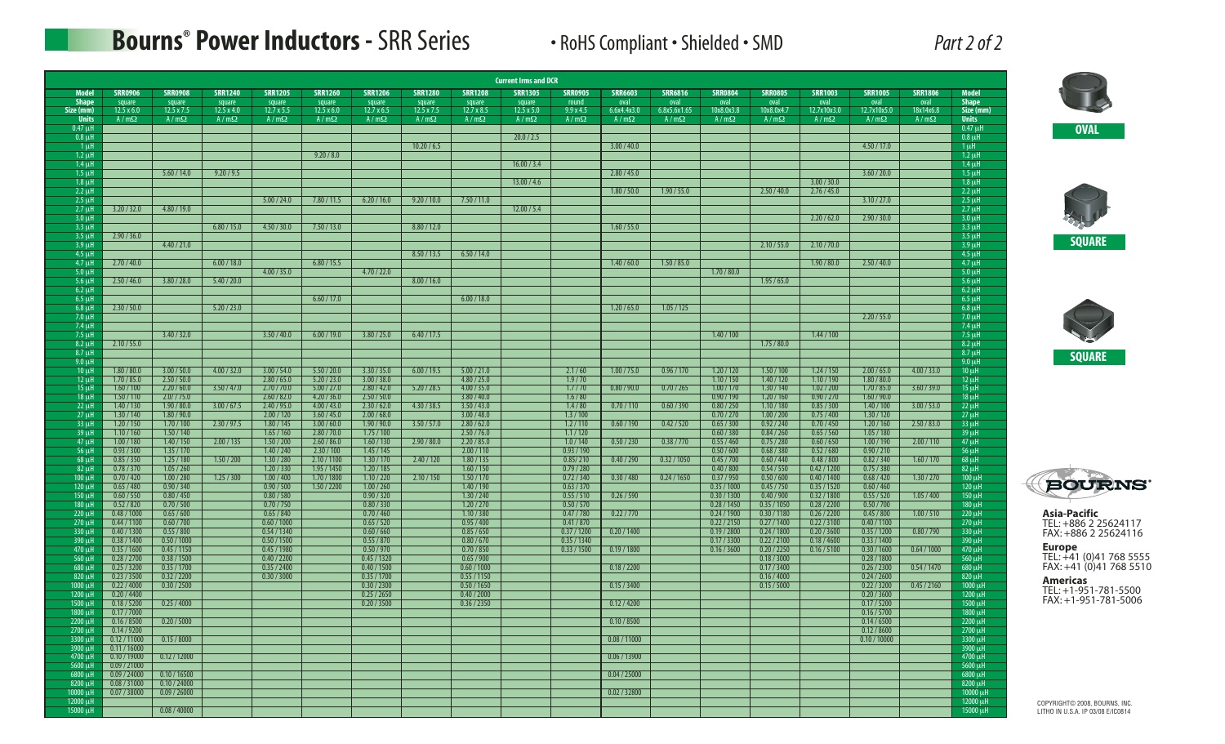## **Bourns ® Power Inductors -** SRR Series • RoHS Compliant • Shielded • SMD *Part 2 of 2*

| Part 2 of 2 |  |  |
|-------------|--|--|
|             |  |  |

|                              |                              |                                                                   |                             |                             |                             |                             |                      |                             | <b>Current Irms and DCR</b> |                           |                     |                      |                            |                            |                            |                            |                   |                             |                                                                    |
|------------------------------|------------------------------|-------------------------------------------------------------------|-----------------------------|-----------------------------|-----------------------------|-----------------------------|----------------------|-----------------------------|-----------------------------|---------------------------|---------------------|----------------------|----------------------------|----------------------------|----------------------------|----------------------------|-------------------|-----------------------------|--------------------------------------------------------------------|
| <b>Model</b>                 | <b>SRR0906</b>               | <b>SRR0908</b>                                                    | <b>SRR1240</b>              | <b>SRR1205</b>              | <b>SRR1260</b>              | <b>SRR1206</b>              | <b>SRR1280</b>       | <b>SRR1208</b>              | <b>SRR1305</b>              | <b>SRR0905</b>            | <b>SRR6603</b>      | <b>SRR6816</b>       | <b>SRR0804</b>             | <b>SRR0805</b>             | <b>SRR1003</b>             | <b>SRR1005</b>             | <b>SRR1806</b>    | <b>Model</b>                |                                                                    |
| <b>Shape</b><br>Size (mm)    | square<br>$12.5 \times 6.0$  | square<br>$12.5 \times 7.5$                                       | square<br>$12.5 \times 4.0$ | square<br>$12.7 \times 5.5$ | square<br>$12.5 \times 6.0$ | square<br>$12.7 \times 6.5$ | square<br>12.5 x 7.5 | square<br>$12.7 \times 8.5$ | square<br>$12.5 \times 5.0$ | round<br>9.9x4.5          | oval<br>6.6x4.4x3.0 | oval<br>6.8x5.6x1.65 | oval<br>10x8.0x3.8         | oval<br>10x8.0x4.7         | oval<br>12.7x10x3.0        | oval<br>12.7x10x5.0        | oval<br>18x14x6.8 | <b>Shape</b><br>Size (mm)   |                                                                    |
| <b>Units</b>                 | $A/m\Omega$                  | $A/m\Omega$                                                       | $A/m\Omega$                 | $A/m\Omega$                 | $A/m\Omega$                 | $A/m\Omega$                 | $A/m\Omega$          | $A/m\Omega$                 | $A/m\Omega$                 | $A/m\Omega$               | $A/m\Omega$         | $A/m\Omega$          | $A/m\Omega$                | $A/m\Omega$                | $A/m\Omega$                | $A/m\Omega$                | $A/m\Omega$       | <b>Units</b>                |                                                                    |
| $0.47 \mu H$<br>$0.8 \mu H$  |                              |                                                                   |                             |                             |                             |                             |                      |                             | 20.0 / 2.5                  |                           |                     |                      |                            |                            |                            |                            |                   | $0.47$ uH<br>$0.8 \mu H$    | <b>OVAL</b>                                                        |
| $1 \mu$ H                    |                              |                                                                   |                             |                             |                             |                             | 10.20 / 6.5          |                             |                             |                           | 3.00 / 40.0         |                      |                            |                            |                            | 4.50 / 17.0                |                   | $1 \mu$ H                   |                                                                    |
| $1.2 \mu H$<br>$1.4 \mu H$   |                              |                                                                   |                             |                             | 9.20 / 8.0                  |                             |                      |                             | 16.00 / 3.4                 |                           |                     |                      |                            |                            |                            |                            |                   | $1.2 \mu$ H<br>$1.4 \mu H$  |                                                                    |
| $1.5 \mu H$                  |                              | 5.60 / 14.0                                                       | 9.20 / 9.5                  |                             |                             |                             |                      |                             |                             |                           | 2.80 / 45.0         |                      |                            |                            |                            | 3.60 / 20.0                |                   | $1.5 \mu H$                 |                                                                    |
| $1.8 \mu H$<br>$2.2 \mu$ H   |                              |                                                                   |                             |                             |                             |                             |                      |                             | 13.00 / 4.6                 |                           | 1.80 / 50.0         | 1.90 / 55.0          |                            | 2.50 / 40.0                | 3.00 / 30.0<br>2.76 / 45.0 |                            |                   | $1.8 \mu H$<br>$2.2 \mu H$  |                                                                    |
| $2.5 \mu H$                  |                              |                                                                   |                             | 5.00 / 24.0                 | 7.80 / 11.5                 | 6.20 / 16.0                 | 9.20 / 10.0          | 7.50 / 11.0                 |                             |                           |                     |                      |                            |                            |                            | 3.10 / 27.0                |                   | $2.5 \mu H$                 |                                                                    |
| $2.7 \mu H$<br>$3.0 \mu H$   | 3.20 / 32.0                  | 4.80 / 19.0                                                       |                             |                             |                             |                             |                      |                             | 12.00 / 5.4                 |                           |                     |                      |                            |                            | 2.20 / 62.0                | 2.90 / 30.0                |                   | $2.7 \mu$ H<br>$3.0 \mu$ H  |                                                                    |
| 3.3 uH                       |                              |                                                                   | 6.80 / 15.0                 | 4.50 / 30.0                 | 7.50 / 13.0                 |                             | 8.80 / 12.0          |                             |                             |                           | 1.60 / 55.0         |                      |                            |                            |                            |                            |                   | $3.3 \mu$ H                 |                                                                    |
| $3.5 \mu H$<br>$3.9 \mu H$   | 2.90 / 36.0                  | 4.40 / 21.0                                                       |                             |                             |                             |                             |                      |                             |                             |                           |                     |                      |                            | 2.10 / 55.0                | 2.10 / 70.0                |                            |                   | $3.5 \mu H$<br>$3.9 \mu H$  |                                                                    |
| $4.5 \mu H$                  |                              |                                                                   |                             |                             |                             |                             | 8.50 / 13.5          | 6.50 / 14.0                 |                             |                           |                     |                      |                            |                            |                            |                            |                   | $4.5 \mu H$                 |                                                                    |
| $4.7 \mu H$                  | 2.70 / 40.0                  |                                                                   | 6.00 / 18.0                 |                             | 6.80 / 15.5                 |                             |                      |                             |                             |                           | 1.40 / 60.0         | 1.50 / 85.0          |                            |                            | 1.90 / 80.0                | 2.50 / 40.0                |                   | $4.7 \mu H$                 |                                                                    |
| $5.0 \mu H$<br>$5.6 \mu H$   | 2.50 / 46.0                  | 3.80 / 28.0                                                       | 5.40 / 20.0                 | 4.00 / 35.0                 |                             | 4.70 / 22.0                 | 8.00 / 16.0          |                             |                             |                           |                     |                      | 1.70 / 80.0                | 1.95/65.0                  |                            |                            |                   | $5.0 \mu H$<br>$5.6 \mu H$  |                                                                    |
| $6.2 \mu H$                  |                              |                                                                   |                             |                             |                             |                             |                      |                             |                             |                           |                     |                      |                            |                            |                            |                            |                   | $6.2 \mu$ H                 |                                                                    |
| $6.5 \mu H$<br>$6.8 \mu H$   | 2.30 / 50.0                  |                                                                   | 5.20 / 23.0                 |                             | 6.60 / 17.0                 |                             |                      | 6.00 / 18.0                 |                             |                           | 1.20 / 65.0         | 1.05 / 125           |                            |                            |                            |                            |                   | $6.5 \mu H$<br>$6.8 \mu$ H  |                                                                    |
| $7.0 \mu$ H                  |                              |                                                                   |                             |                             |                             |                             |                      |                             |                             |                           |                     |                      |                            |                            |                            | 2.20 / 55.0                |                   | $7.0 \mu H$                 |                                                                    |
| 7.4 uH<br>$7.5 \mu H$        |                              | 3.40 / 32.0                                                       |                             | 3.50 / 40.0                 | 6.00 / 19.0                 | 3.80 / 25.0                 | 6.40 / 17.5          |                             |                             |                           |                     |                      | 1.40 / 100                 |                            | 1.44 / 100                 |                            |                   | 7.4 uH<br>$7.5 \mu$ H       |                                                                    |
| $8.2 \mu H$                  | 2.10 / 55.0                  |                                                                   |                             |                             |                             |                             |                      |                             |                             |                           |                     |                      |                            | 1.75 / 80.0                |                            |                            |                   | $8.2 \mu H$                 |                                                                    |
| $8.7$ uH<br>$9.0 \mu H$      |                              |                                                                   |                             |                             |                             |                             |                      |                             |                             |                           |                     |                      |                            |                            |                            |                            |                   | $8.7 \mu H$<br>$9.0 \mu$ H  |                                                                    |
| $10 \mu H$                   | 1.80 / 80.0                  | 3.00 / 50.0                                                       | 4.00 / 32.0                 | 3.00 / 54.0                 | 5.50 / 20.0                 | 3.30 / 35.0                 | 6.00 / 19.5          | 5.00 / 21.0                 |                             | 2.1/60                    | 1.00 / 75.0         | 0.96 / 170           | 1.20 / 120                 | 1.50 / 100                 | 1.24/150                   | 2.00 / 65.0                | 4.00 / 33.0       | $10 \mu H$                  |                                                                    |
| $12 \mu H$<br>$15 \mu H$     | 1.70 / 85.0<br>1.60 / 100    | 2.50 / 50.0<br>2.20/60.0                                          | 3.50 / 47.0                 | 2.80 / 65.0<br>2.70/70.0    | 5.20 / 23.0<br>5.00 / 27.0  | 3.00 / 38.0<br>2.80 / 42.0  | 5.20 / 28.5          | 4.80 / 25.0<br>4.00 / 35.0  |                             | 1.9/70<br>1.7/70          | 0.80 / 90.0         | 0.70 / 265           | 1.10 / 150<br>1.00 / 170   | 1.40 / 120<br>1.30 / 140   | 1.10 / 190<br>1.02 / 200   | 1.80 / 80.0<br>1.70 / 85.0 | 3.60 / 39.0       | $12 \mu H$<br>$15 \mu H$    |                                                                    |
| $18 \mu H$                   | 1.50 / 110                   | 2.0 / 75.0                                                        |                             | 2.60 / 82.0                 | 4.20 / 36.0                 | 2.50 / 50.0                 |                      | 3.80 / 40.0                 |                             | 1.6 / 80                  |                     |                      | 0.90 / 190                 | 1.20 / 160                 | 0.90 / 270                 | 1.60 / 90.0                |                   | $18 \mu H$                  |                                                                    |
| $22$ uH<br>$27 \mu H$        | 1.40 / 130<br>1.30 / 140     | 1.90 / 80.0<br>1.80 / 90.0                                        | 3.00 / 67.5                 | 2.40 / 95.0<br>2.00 / 120   | 4.00 / 43.0<br>3.60 / 45.0  | 2.30 / 62.0<br>2.00 / 68.0  | 4.30 / 38.5          | 3.50 / 43.0<br>3.00 / 48.0  |                             | 1.4 / 80<br>1.3 / 100     | 0.70 / 110          | 0.60 / 390           | 0.80 / 250<br>0.70 / 270   | 1.10 / 180<br>1.00 / 200   | 0.85 / 300<br>0.75/400     | 1.40 / 100<br>1.30 / 120   | 3.00 / 53.0       | $22 \mu H$<br>$27 \mu H$    |                                                                    |
| 33 uH                        | 1.20 / 150                   | 1.70 / 100                                                        | 2.30 / 97.5                 | 1.80 / 145                  | 3.00 / 60.0                 | 1.90 / 90.0                 | 3.50 / 57.0          | 2.80 / 62.0                 |                             | 1.2 / 110                 | 0.60 / 190          | 0.42 / 520           | 0.65 / 300                 | 0.92 / 240                 | 0.70 / 450                 | 1.20 / 160                 | 2.50 / 83.0       | $33 \mu H$                  |                                                                    |
| $39 \mu H$                   | 1.10 / 160<br>1.00 / 180     | 1.50 / 140                                                        |                             | 1.65/160                    | 2.80 / 70.0                 | 1.75/100                    |                      | 2.50 / 76.0                 |                             | 1.1/120                   |                     |                      | 0.60 / 380                 | 0.84 / 260                 | 0.65 / 560                 | 1.05 / 180                 |                   | $39 \mu H$                  |                                                                    |
| $47 \mu H$<br>$56 \mu H$     | 0.93 / 300                   | 1.40 / 150<br>1.35 / 170                                          | 2.00 / 135                  | 1.50 / 200<br>1.40 / 240    | 2.60 / 86.0<br>2.30 / 100   | 1.60 / 130<br>1.45/145      | 2.90 / 80.0          | 2.20 / 85.0<br>2.00 / 110   |                             | 1.0 / 140<br>0.93/190     | 0.50 / 230          | 0.38 / 770           | 0.55/460<br>0.50 / 600     | 0.75 / 280<br>0.68 / 380   | 0.60 / 650<br>0.52/680     | 1.00 / 190<br>0.90 / 210   | 2.00 / 110        | $47 \mu H$<br>$56 \mu H$    |                                                                    |
| $68 \mu H$                   | 0.85 / 350                   | 1.25/180                                                          | 1.50 / 200                  | 1.30 / 280                  | 2.10 / 1100                 | 1.30 / 170                  | 2.40 / 120           | 1.80 / 135                  |                             | 0.85/210                  | 0.40 / 290          | 0.32 / 1050          | 0.45 / 700                 | 0.60 / 440                 | 0.48 / 800                 | 0.82 / 340                 | 1.60 / 170        | $68 \mu H$                  |                                                                    |
| $82 \mu H$<br>$100 \mu H$    | 0.78 / 370<br>0.70 / 420     | 1.05 / 260<br>1.00 / 280                                          | 1.25/300                    | 1.20 / 330<br>1.00 / 400    | 1.95 / 1450<br>1.70 / 1800  | 1.20 / 185<br>1.10 / 220    | 2.10 / 150           | 1.60 / 150<br>1.50 / 170    |                             | 0.79/280<br>0.72 / 340    | 0.30 / 480          | 0.24 / 1650          | 0.40 / 800<br>0.37 / 950   | 0.54 / 550<br>0.50 / 600   | 0.42 / 1200<br>0.40 / 1400 | 0.75/380<br>0.68 / 420     | 1.30 / 270        | $82 \mu H$<br>$100 \mu H$   |                                                                    |
| $120 \mu H$                  | 0.65/480                     | 0.90 / 340                                                        |                             | 0.90 / 500                  | 1.50 / 2200                 | 1.00 / 260                  |                      | 1.40 / 190                  |                             | 0.63 / 370                |                     |                      | 0.35 / 1000                | 0.45 / 750                 | 0.35 / 1520                | 0.60 / 460                 |                   | $120 \mu H$                 | <b>BOURNS</b>                                                      |
| $150 \mu H$<br>180 uH        | 0.60 / 550<br>0.52 / 820     | 0.80 / 450<br>0.70 / 500                                          |                             | 0.80 / 580<br>0.70 / 750    |                             | 0.90 / 320<br>0.80 / 330    |                      | 1.30 / 240<br>1.20 / 270    |                             | 0.55 / 510<br>0.50 / 570  | 0.26 / 590          |                      | 0.30 / 1300<br>0.28 / 1450 | 0.40 / 900<br>0.35 / 1050  | 0.32 / 1800<br>0.28 / 2200 | 0.55 / 520<br>0.50 / 700   | 1.05 / 400        | $150 \mu H$<br>$180 \mu H$  |                                                                    |
| $220 \mu H$                  | 0.48 / 1000                  | 0.65/600                                                          |                             | 0.65 / 840                  |                             | 0.70 / 460                  |                      | 1.10 / 380                  |                             | 0.47 / 780                | 0.22 / 770          |                      | 0.24 / 1900                | 0.30 / 1180                | 0.26 / 2200                | 0.45 / 800                 | 1.00 / 510        | $220 \mu H$                 | <b>Asia-Pacific</b>                                                |
| 270 µH<br>330 µH             | 0.44 / 1100<br>0.40 / 1300   | 0.60 / 700<br>0.55 / 800                                          |                             | 0.60 / 1000<br>0.54/1340    |                             | 0.65 / 520<br>0.60 / 660    |                      | 0.95/400<br>0.85 / 650      |                             | 0.41 / 870<br>0.37 / 1200 | 0.20 / 1400         |                      | 0.22 / 2150<br>0.19 / 2800 | 0.27/1400<br>0.24 / 1800   | 0.22 / 3100<br>0.20 / 3600 | 0.40 / 1100<br>0.35/1200   | 0.80 / 790        | $270 \mu H$<br>$330 \mu H$  | TEL: +886 2 25624117<br>FAX: +886 2 25624116                       |
| 390 µH                       | 0.38 / 1400                  | 0.50 / 1000                                                       |                             | 0.50 / 1500                 |                             | 0.55 / 870                  |                      | 0.80 / 670                  |                             | 0.35/1340                 |                     |                      | 0.17 / 3300                | 0.22 / 2100                | 0.18 / 4600                | 0.33 / 1400                |                   | 390 uH                      |                                                                    |
| 470 µH<br>$560 \mu H$        | 0.35/1600<br>0.28 / 2700     | 0.45 / 1150<br>0.38 / 1500                                        |                             | 0.45/1980<br>0.40 / 2200    |                             | 0.50 / 970<br>0.45 / 1320   |                      | 0.70 / 850<br>0.65/900      |                             | 0.33 / 1500               | 0.19/1800           |                      | 0.16 / 3600                | 0.20 / 2250<br>0.18 / 3000 | 0.16 / 5100                | 0.30 / 1600<br>0.28 / 1800 | 0.64 / 1000       | 470 uH<br>560 uH            | <b>Europe</b><br>TEL: +41 (0)41 768 5555                           |
| $680 \mu H$                  | 0.25 / 3200                  | 0.35 / 1700                                                       |                             | 0.35 / 2400                 |                             | 0.40 / 1500                 |                      | 0.60 / 1000                 |                             |                           | 0.18 / 2200         |                      |                            | 0.17 / 3400                |                            | 0.26 / 2300                | 0.54/1470         | $680 \mu H$                 | FAX: +41 (0)41 768 5510                                            |
| 820 µH<br>$1000 \mu H$       | 0.23 / 3500<br>0.22 / 4000   | 0.32 / 2200<br>0.30 / 2500                                        |                             | 0.30 / 3000                 |                             | 0.35 / 1700<br>0.30 / 2300  |                      | 0.55/1150<br>0.50 / 1650    |                             |                           | 0.15 / 3400         |                      |                            | 0.16 / 4000<br>0.15 / 5000 |                            | 0.24 / 2600<br>0.22 / 3200 | 0.45 / 2160       | $820 \mu H$<br>$1000 \mu H$ | Americas                                                           |
| 1200 µH                      | 0.20 / 4400                  |                                                                   |                             |                             |                             | 0.25 / 2650                 |                      | 0.40 / 2000                 |                             |                           |                     |                      |                            |                            |                            | 0.20 / 3600                |                   | 1200 µH                     | TEL: +1-951-781-5500                                               |
| 1500 µH                      | 0.18 / 5200                  | 0.25/4000                                                         |                             |                             |                             | 0.20 / 3500                 |                      | 0.36 / 2350                 |                             |                           | 0.12 / 4200         |                      |                            |                            |                            | 0.17 / 5200                |                   | $1500 \mu H$                | FAX: +1-951-781-5006                                               |
| $1800 \mu H$<br>$2200 \mu H$ | 0.17 / 7000<br>0.16 / 8500   | 0.20 / 5000                                                       |                             |                             |                             |                             |                      |                             |                             |                           | 0.10 / 8500         |                      |                            |                            |                            | 0.16 / 5700<br>0.14 / 6500 |                   | 1800 µH<br>$2200 \mu H$     |                                                                    |
| 2700 uH                      | 0.14/9200                    |                                                                   |                             |                             |                             |                             |                      |                             |                             |                           |                     |                      |                            |                            |                            | 0.12 / 8600                |                   | 2700 uH                     |                                                                    |
| 3300 uH<br>3900 µH           | 0.12 / 11000<br>0.11 / 16000 | 0.15/8000                                                         |                             |                             |                             |                             |                      |                             |                             |                           | 0.08 / 11000        |                      |                            |                            |                            | 0.10 / 10000               |                   | 3300 uH<br>3900 µH          |                                                                    |
| 4700 µH                      | 0.10 / 19000                 | $\begin{array}{ c c c c c } \hline 0.12/12000 \hline \end{array}$ |                             |                             |                             |                             |                      |                             |                             |                           | 0.06 / 13900        |                      |                            |                            |                            |                            |                   | 4700 µH                     |                                                                    |
| 5600 µH<br>$6800 \mu H$      | 0.09 / 21000<br>0.09 / 24000 | 0.10 / 16500                                                      |                             |                             |                             |                             |                      |                             |                             |                           | 0.04 / 25000        |                      |                            |                            |                            |                            |                   | 5600 uH<br>$6800 \mu H$     |                                                                    |
| 8200 µH                      | 0.08 / 31000                 | 0.10 / 24000                                                      |                             |                             |                             |                             |                      |                             |                             |                           |                     |                      |                            |                            |                            |                            |                   | $8200 \mu H$                |                                                                    |
| 10000 µH<br>12000 $\mu$ H    | 0.07 / 38000                 | 0.09 / 26000                                                      |                             |                             |                             |                             |                      |                             |                             |                           | 0.02 / 32800        |                      |                            |                            |                            |                            |                   | $10000 \mu$ H<br>12000 uH   |                                                                    |
| 15000 uH                     |                              | 0.08/40000                                                        |                             |                             |                             |                             |                      |                             |                             |                           |                     |                      |                            |                            |                            |                            |                   | 15000 uH                    | COPYRIGHT© 2008, BOURNS, INC.<br>LITHO IN U.S.A. IP 03/08 E/IC0814 |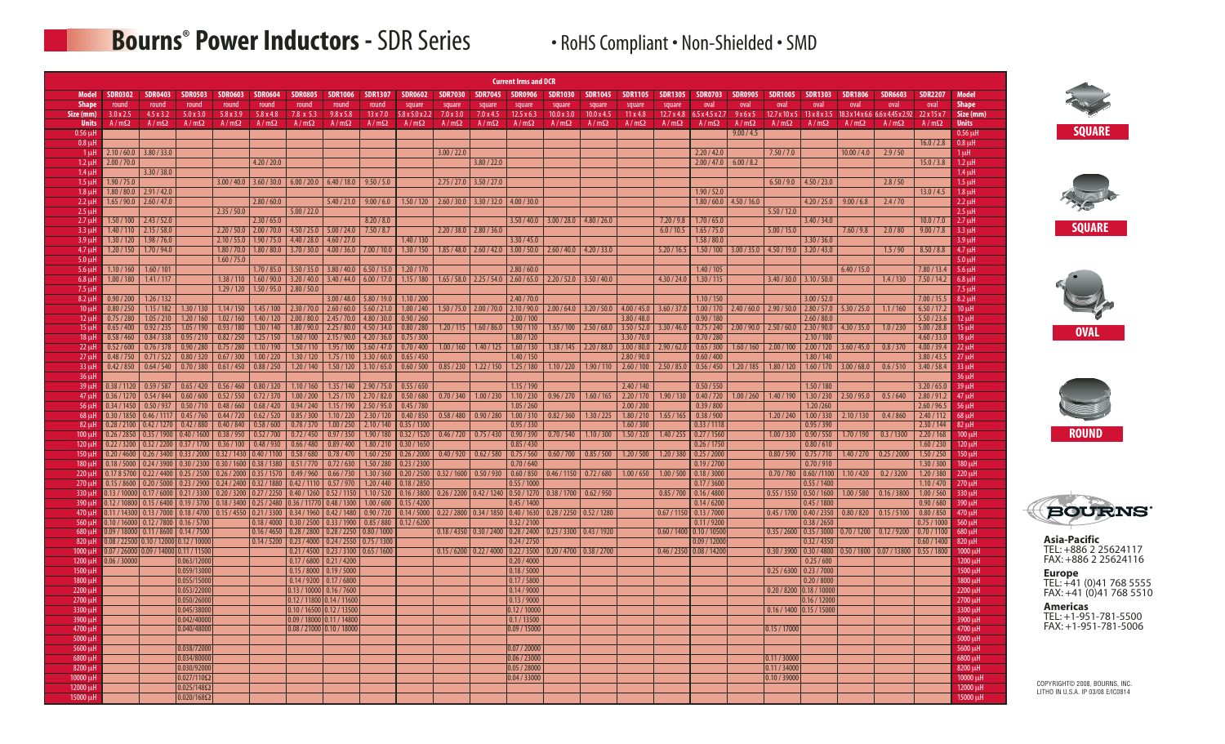# **Bourns<sup>®</sup> Power Inductors - SDR Series • RoHS Compliant • Non-Shielded • SMD**

|                                 |                                 |                                        |                            |                                                                                                                              |                                               |                                                               |                                                                        |                            |                                            |                          |                                           | <b>Current Irms and DCR</b>      |                                                                       |                           |                            |                           |                            |                           |                                                               |                                                                                          |                                       |                                                                                     |                            |                                 |
|---------------------------------|---------------------------------|----------------------------------------|----------------------------|------------------------------------------------------------------------------------------------------------------------------|-----------------------------------------------|---------------------------------------------------------------|------------------------------------------------------------------------|----------------------------|--------------------------------------------|--------------------------|-------------------------------------------|----------------------------------|-----------------------------------------------------------------------|---------------------------|----------------------------|---------------------------|----------------------------|---------------------------|---------------------------------------------------------------|------------------------------------------------------------------------------------------|---------------------------------------|-------------------------------------------------------------------------------------|----------------------------|---------------------------------|
| <b>Model</b>                    | <b>SDR0302</b>                  | <b>SDR0403</b>                         | <b>SDR0503</b>             | <b>SDR0603</b>                                                                                                               | <b>SDR0604</b>                                | <b>SDR0805</b>                                                | <b>SDR1006</b>                                                         | <b>SDR1307</b>             | <b>SDR0602</b>                             | <b>SDR7030</b>           | <b>SDR7045</b>                            | <b>SDR0906</b>                   | <b>SDR1030</b>                                                        | <b>SDR1045</b>            | <b>SDR1105</b>             | <b>SDR1305</b>            | <b>SDR0703</b>             | <b>SDR0905</b>            | <b>SDR1005</b>                                                | <b>SDR1303</b>                                                                           | <b>SDR1806</b>                        | <b>SDR6603</b>                                                                      | <b>SDR2207</b>             | Model                           |
| <b>Shape</b>                    | round                           | round                                  | round                      | round                                                                                                                        | round                                         | round                                                         | round                                                                  | round                      | square                                     | square                   | square                                    | square                           | square                                                                | square                    | square                     | square                    | oval                       | oval                      | oval                                                          | oval                                                                                     | oval                                  | oval                                                                                | oval                       | <b>Shape</b>                    |
| Size (mm)<br><b>Units</b>       | $3.0 \times 2.5$<br>$A/m\Omega$ | 4.5 x 3.2<br>$A/m\Omega$               | 5.0 x 3.0<br>$A/m\Omega$   | $5.8 \times 3.9$<br>$A/m\Omega$                                                                                              | 5.8x4.8<br>$A/m\Omega$                        | 7.8 x 5.3<br>$A/m\Omega$                                      | $9.8 \times 5.8$<br>$A/m\Omega$                                        | 13 x 7.0<br>$A/m\Omega$    | $5.8 \times 5.0 \times 2.2$<br>$A/m\Omega$ | 7.0 x 3.0<br>$A/m\Omega$ | 7.0 x 4.5<br>$A/m\Omega$                  | $12.5 \times 6.3$<br>$A/m\Omega$ | $10.0 \times 3.0$<br>$A/m\Omega$                                      | 10.0 x 4.5<br>$A/m\Omega$ | 11x4.8<br>$A/m\Omega$      | 12.7 x 4.8<br>$A/m\Omega$ | 6.5x4.5x2.7<br>$A/m\Omega$ | 9x6x5<br>$A/m\Omega$      | $A/m\Omega$                                                   | $A/m\Omega$                                                                              | $A/m\Omega$                           | 12.7 x 10 x 5   13 x 8 x 3.5   18.3 x 14 x 6.6   6.6 x 4.45 x 2.92  <br>$A/m\Omega$ | 22x15x7<br>$A/m\Omega$     | Size (mm)<br><b>Units</b>       |
| $0.56$ $\mu$ H                  |                                 |                                        |                            |                                                                                                                              |                                               |                                                               |                                                                        |                            |                                            |                          |                                           |                                  |                                                                       |                           |                            |                           |                            | 9.00 / 4.5                |                                                               |                                                                                          |                                       |                                                                                     |                            | $0.56$ uH                       |
| $0.8$ $\mu$                     |                                 |                                        |                            |                                                                                                                              |                                               |                                                               |                                                                        |                            |                                            |                          |                                           |                                  |                                                                       |                           |                            |                           |                            |                           |                                                               |                                                                                          |                                       |                                                                                     | 16.0 / 2.8                 | $0.8 \mu$ H                     |
| 1 <sub>µ</sub>                  | 2.10 / 60.0                     | 3.80 / 33.0                            |                            |                                                                                                                              |                                               |                                                               |                                                                        |                            |                                            | 3.00 / 22.0              |                                           |                                  |                                                                       |                           |                            |                           | 2.20 / 42.0                |                           | 7.50 / 7.0                                                    |                                                                                          | 10.00 / 4.0                           | 2.9 / 50                                                                            |                            | $1 \mu$ H                       |
| $1.2 \mu$ H<br>1.4 <sub>µ</sub> | 2.00 / 70.0                     | 3.30 / 38.0                            |                            |                                                                                                                              | 4.20 / 20.0                                   |                                                               |                                                                        |                            |                                            |                          | 3.80 / 22.0                               |                                  |                                                                       |                           |                            |                           |                            | $2.00 / 47.0$ 6.00 / 8.2  |                                                               |                                                                                          |                                       |                                                                                     | 15.0 / 3.8                 | $1.2 \mu$ H<br>$1.4 \mu$ H      |
| 1.5 <sub>µ</sub>                | 1.90 / 75.0                     |                                        |                            |                                                                                                                              |                                               | $3.00 / 40.0$ 3.60 / 30.0 6.00 / 20.0 6.40 / 18.0             |                                                                        | 9.50 / 5.0                 |                                            |                          | $2.75 / 27.0$ 3.50 / 27.0                 |                                  |                                                                       |                           |                            |                           |                            |                           | $6.50 / 9.0$ 4.50 / 23.0                                      |                                                                                          |                                       | 2.8 / 50                                                                            |                            | $1.5 \mu$ H                     |
| $1.8 \mu$ H                     | 1.80 / 80.0                     | 2.91 / 42.0                            |                            |                                                                                                                              |                                               |                                                               |                                                                        |                            |                                            |                          |                                           |                                  |                                                                       |                           |                            |                           | 1.90 / 52.0                |                           |                                                               |                                                                                          |                                       |                                                                                     | 13.0 / 4.5                 | $1.8 \mu$ H                     |
| $2.2 \mu$                       |                                 | $1.65/90.0$ 2.60 / 47.0                |                            | 2.35/50.0                                                                                                                    | 2.80 / 60.0                                   |                                                               | 5.40 / 21.0                                                            | 9.00 / 6.0                 | 1.50 / 120                                 |                          | $2.60 / 30.0$ 3.30 / 32.0 4.00 / 30.0     |                                  |                                                                       |                           |                            |                           |                            | $1.80 / 60.0$ 4.50 / 16.0 |                                                               | 4.20 / 25.0                                                                              | 9.00 / 6.8                            | 2.4 / 70                                                                            |                            | $2.2 \mu$ H                     |
| $2.5$ $\mu$<br>2.7 <sub>µ</sub> | 1.50 / 100                      | 2.43 / 52.0                            |                            |                                                                                                                              | 2.30 / 65.0                                   | 5.00 / 22.0                                                   |                                                                        | 8.20 / 8.0                 |                                            |                          |                                           |                                  | $3.50 / 40.0$   $3.00 / 28.0$   $4.80 / 26.0$                         |                           |                            | 7.20 / 9.8                | 1.70 / 65.0                |                           | 5.50 / 12.0                                                   | 3.40 / 34.0                                                                              |                                       |                                                                                     | 10.0 / 7.0                 | $2.5 \mu H$<br>$2.7 \mu$ H      |
| $3.3 \mu$                       | 1.40 / 110                      | 2.15 / 58.0                            |                            |                                                                                                                              |                                               | $2.20 / 50.0$ 2.00 / 70.0 4.50 / 25.0 5.00 / 24.0             |                                                                        | 7.50 / 8.7                 |                                            |                          | $2.20 / 38.0$ 2.80 / 36.0                 |                                  |                                                                       |                           |                            | 6.0 / 10.5                | 1.65 / 75.0                |                           | 5.00 / 15.0                                                   |                                                                                          | 7.60 / 9.8                            | 2.0 / 80                                                                            | 9.00 / 7.8                 | $3.3 \mu H$                     |
| $3.9$ ut                        | 1.30 / 120                      | 1.98 / 76.0                            |                            |                                                                                                                              | $2.10 / 55.0$   1.90 / 75.0   4.40 / 28.0     |                                                               | 4.60 / 27.0                                                            |                            | 1.40 / 130                                 |                          |                                           | 3.30 / 45.0                      |                                                                       |                           |                            |                           | 1.58 / 80.0                |                           |                                                               | 3.30 / 36.0                                                                              |                                       |                                                                                     |                            | $3.9$ uH                        |
| 4.7 <sub>µ</sub>                | 1.20 / 150                      | 1.70 / 94.0                            |                            | 1.60 / 75.0                                                                                                                  | $1.80 / 70.0$   $1.80 / 80.0$   $3.70 / 30.0$ |                                                               | 4.00 / 36.0                                                            | 7.00 / 10.0                | 1.30 / 150                                 |                          |                                           |                                  | $1.85 / 48.0$ $2.60 / 42.0$ $3.00 / 50.0$ $2.60 / 40.0$ $4.20 / 33.0$ |                           |                            | 5.20 / 16.5               | 1.50 / 100                 |                           | $3.00 / 35.0$ $4.50 / 19.0$ $3.20 / 43.0$                     |                                                                                          |                                       | 1.5/90                                                                              | 8.50 / 8.8                 | $4.7 \mu H$                     |
| $5.0$ ul<br>$5.6$ $\mu$         | 1.10 / 160                      | 1.60 / 101                             |                            |                                                                                                                              |                                               | $1.70 / 85.0$   3.50 / 35.0                                   | 3.80 / 40.0                                                            | 6.50 / 15.0                | 1.20 / 170                                 |                          |                                           | 2.80 / 60.0                      |                                                                       |                           |                            |                           | 1.40 / 105                 |                           |                                                               |                                                                                          | 6.40 / 15.0                           |                                                                                     | 7.80 / 13.4                | $5.0 \mu$ H<br>$5.6$ $\mu$ H    |
| $6.8$ $\mu$                     | 1.00 / 180                      | 1.41 / 117                             |                            |                                                                                                                              | $1.38 / 110$   $1.60 / 90.0$   $3.20 / 40.0$  |                                                               | 3.40 / 44.0                                                            | 6.00 / 17.0                | 1.15 / 180                                 |                          |                                           |                                  | 1.65 / 58.0   2.25 / 54.0   2.60 / 65.0   2.20 / 52.0   3.50 / 40.0   |                           |                            | 4.30 / 24.0               | 1.30 / 115                 |                           | $3.40 / 30.0$ 3.10 / 50.0                                     |                                                                                          |                                       | 1.4/130                                                                             | 7.50 / 14.2                | $6.8 \mu H$                     |
| $7.5$ $\mu$                     |                                 |                                        |                            |                                                                                                                              | $1.29/120$   $1.50/95.0$   2.80/50.0          |                                                               |                                                                        |                            |                                            |                          |                                           |                                  |                                                                       |                           |                            |                           |                            |                           |                                                               |                                                                                          |                                       |                                                                                     |                            | 7.5 µH                          |
| $8.2 \mu$ H                     | 0.90 / 200                      | 1.26 / 132                             |                            |                                                                                                                              |                                               |                                                               | 3.00 / 48.0                                                            | 5.80 / 19.0                | 1.10 / 200                                 |                          |                                           | 2.40 / 70.0                      |                                                                       |                           |                            |                           | 1.10 / 150                 |                           |                                                               | 3.00 / 52.0                                                                              |                                       |                                                                                     | 7.00 / 15.5                | 8.2 uH                          |
| 10 uH<br>$12 \mu$ H             | 0.80 / 250<br>0.75 / 280        | 1.15/182<br>1.05 / 210                 | 1.30 / 130<br>1.20 / 160   | 1.14 / 150<br>1.02 / 160                                                                                                     | 1.45/100<br>1.40 / 120                        | 2.30 / 70.0<br>2.00 / 80.0                                    | 2.60 / 60.0<br>2.45 / 70.0                                             | 5.60 / 21.0<br>4.80 / 30.0 | 1.00 / 240<br>0.90 / 260                   |                          | $1.50 / 75.0$   2.00 / 70.0   2.10 / 90.0 | 2.00 / 100                       |                                                                       | $2.00 / 64.0$ 3.20 / 50.0 | 4.00 / 45.0<br>3.80 / 48.0 | 3.60 / 37.0               | 1.00 / 170<br>0.90 / 180   |                           | $2.40 / 60.0$   $2.90 / 50.0$   $2.80 / 57.0$   $5.30 / 25.0$ | 2.60 / 80.0                                                                              |                                       | 1.1 / 160                                                                           | 6.50 / 17.2<br>5.50 / 23.6 | $10 \mathrm{u}$ H<br>$12 \mu H$ |
| $15 \mu$ H                      | 0.65 / 400                      | 0.92 / 235                             | 1.05/190                   | 0.93 / 180                                                                                                                   | 1.30 / 140                                    | 1.80 / 90.0                                                   | 2.25 / 80.0                                                            | 4.50 / 34.0                | 0.80 / 280                                 | 1.20 / 115               | 1.60 / 86.0                               | 1.90 / 110                       | 1.65 / 100                                                            | 2.50 / 68.0               | 3.50 / 52.0                | 3.30 / 46.0               | 0.75 / 240                 | 2.00 / 90.0               | 2.50 / 60.0                                                   |                                                                                          | $2.30 / 90.0$ 4.30 / 35.0             | 1.0 / 230                                                                           | 5.00 / 28.8                | $15 \mu H$                      |
| 18 <sub>u</sub>                 | 0.58 / 460                      | 0.84 / 338                             | 0.95 / 210                 | 0.82 / 250                                                                                                                   | 1.25/150                                      | 1.60 / 100                                                    | 2.15/90.0                                                              | 4.20 / 36.0                | 0.75/300                                   |                          |                                           | 1.80 / 120                       |                                                                       |                           | 3.30 / 70.0                |                           | 0.70 / 280                 |                           |                                                               | 2.10 / 100                                                                               |                                       |                                                                                     | 4.60 / 33.0                | $18 \mu H$                      |
| 22 uH                           | 0.52 / 600                      | 0.76 / 378                             | 0.90 / 280                 | 0.75 / 280                                                                                                                   | 1.10 / 190                                    | 1.50 / 110                                                    | 1.95/100                                                               | 3.60 / 47.0                | 0.70 / 400                                 | 1.00 / 160               | 1.40 / 125                                | 1.60 / 130                       | 1.38 / 145                                                            | 2.20 / 88.0               | 3.00 / 80.0                | 2.90 / 62.0               | 0.65 / 300                 |                           | $1.60 / 160$ 2.00 / 100                                       | $\begin{array}{ c c c c c c c c } \hline 2.00 & 120 & 3.60 & 45.0 \\ \hline \end{array}$ |                                       | 0.8 / 370                                                                           | 4.00 / 39.4                | $22 \mu H$                      |
| 27 uH<br>$33 \mu$               | 0.48 / 750<br>0.42 / 850        | 0.71 / 522<br>0.64 / 540               | 0.80 / 320<br>0.70 / 380   | 0.67 / 300<br>0.61 / 450                                                                                                     | 1.00 / 220<br>0.88 / 250                      | 1.30 / 120<br>1.20 / 140                                      | 1.75/110<br>1.50 / 120                                                 | 3.30 / 60.0<br>3.10 / 65.0 | 0.65 / 450<br>0.60 / 500                   | 0.85 / 230               | 1.22 / 150                                | 1.40 / 150<br>1.25/180           | 1.10 / 220                                                            | 1.90 / 110                | 2.80 / 90.0<br>2.60 / 100  | 2.50 / 85.0               | 0.60 / 400<br>0.56 / 450   | 1.20 / 185                | 1.80 / 120                                                    | 1.80 / 140                                                                               | $1.60 / 170$ 3.00/68.0                | 0.6 / 510                                                                           | 3.80 / 43.5<br>3.40 / 58.4 | $27$ uH<br>33 µH                |
| $36 \mu$                        |                                 |                                        |                            |                                                                                                                              |                                               |                                                               |                                                                        |                            |                                            |                          |                                           |                                  |                                                                       |                           |                            |                           |                            |                           |                                                               |                                                                                          |                                       |                                                                                     |                            | 36 uH                           |
| $39 \mu H$                      | 0.38 / 1120                     | 0.59/587                               | 0.65/420                   | $0.56 / 460$ 0.80 / 320                                                                                                      |                                               | 1.10 / 160                                                    | 1.35/140                                                               | 2.90 / 75.0                | 0.55 / 650                                 |                          |                                           | 1.15/190                         |                                                                       |                           | 2.40 / 140                 |                           | 0.50 / 550                 |                           |                                                               | 1.50 / 180                                                                               |                                       |                                                                                     | 3.20 / 65.0                | 39 uH                           |
| 47 uH                           | 0.36 / 1270                     | 0.54 / 844                             | 0.60 / 600                 | 0.52 / 550                                                                                                                   | 0.72 / 370                                    | 1.00 / 200                                                    | 1.25/170                                                               | 2.70 / 82.0                | 0.50 / 680                                 | 0.70 / 340               | 1.00 / 230                                | 1.10 / 230                       | 0.96 / 270                                                            | 1.60 / 165                | 2.20 / 170                 | 1.90 / 130                | 0.40 / 720                 | 1.00 / 260                | 1.40 / 190                                                    |                                                                                          | $1.30 / 230$ 2.50 / 95.0              | 0.5/640                                                                             | 2.80 / 91.2                | 47 µH                           |
| $56$ ul<br>$68$ ub              | 0.34 / 1450<br>0.30 / 1850      | 0.50 / 937<br>0.46 / 1117              | 0.50 / 710<br>0.45 / 760   | 0.48/660<br>$0.44 / 720$ 0.62 / 520                                                                                          | 0.68 / 420                                    | 0.94 / 240<br>0.85 / 300                                      | 1.15/190<br>1.10 / 220                                                 | 2.50/95.0<br>2.30 / 120    | 0.45 / 780<br>0.40 / 850                   | 0.58 / 480               | 0.90 / 280                                | 1.05 / 260<br>1.00 / 310         | 0.82 / 360                                                            | 1.30 / 225                | 2.00 / 200<br>1.80 / 210   | 1.65 / 165                | 0.39 / 800<br>0.38 / 900   |                           | 1.20 / 240                                                    | 1.20 / 260<br>1.00 / 330                                                                 | 2.10 / 130                            | 0.4 / 860                                                                           | 2.60 / 96.5<br>2.40 / 112  | $56 \mu H$<br>$68 \mu H$        |
| 82 uF                           | 0.28 / 2100                     | 0.42 / 1270                            | 0.42 / 880                 | 0.40 / 840                                                                                                                   | 0.58 / 600                                    | 0.78 / 370                                                    | 1.00 / 250                                                             | 2.10 / 140                 | 0.35 / 1300                                |                          |                                           | 0.95/330                         |                                                                       |                           | 1.60 / 300                 |                           | 0.33 / 1118                |                           |                                                               | 0.95 / 390                                                                               |                                       |                                                                                     | 2.30 / 144                 | 82 uH                           |
| 100 սե                          |                                 | $0.26 / 2850$ 0.35 / 1900              |                            | $0.40 / 1600$ 0.38 / 950                                                                                                     | 0.52 / 700                                    | 0.72 / 450                                                    | 0.97 / 350                                                             | 1.90 / 180                 | 0.32 / 1520                                |                          | $0.46 / 720$ 0.75 / 430                   | 0.90 / 390                       | 0.70 / 540                                                            | 1.10 / 300                | 1.50 / 320                 | 1.40 / 255                | 0.27 / 1560                |                           | 1.00 / 330                                                    | 0.90 / 550                                                                               | 1.70 / 190                            | 0.3 / 1300                                                                          | 2.20 / 168                 | $100 \mu$ H                     |
| 120 ul                          | 0.22 / 3200                     | 0.32 / 2200                            | 0.37/1700                  | 0.36 / 100                                                                                                                   | 0.48 / 930                                    | 0.66 / 480                                                    | 0.89/400                                                               | 1.80 / 210                 | 0.30 / 1650                                |                          |                                           | 0.85 / 430                       |                                                                       |                           |                            |                           | 0.26 / 1750                |                           |                                                               | 0.80 / 610                                                                               |                                       |                                                                                     | 1.60 / 230                 | 120 uH                          |
| 150 uF<br>180 u                 |                                 | $0.20 / 4600$   0.26 / 3400            |                            | $0.33 / 2000$   0.32 / 1430   0.40 / 1100<br>0.18 / 5000   0.24 / 3900   0.30 / 2300   0.30 / 1600   0.38 / 1380             |                                               | 0.58 / 680<br>0.51/770                                        | 0.78 / 470<br>0.72 / 630                                               | 1.60 / 250<br>1.50 / 280   | 0.26 / 2000<br>0.23 / 2300                 | 0.40 / 920               | 0.62 / 580                                | 0.75 / 560<br>0.70 / 640         | 0.60 / 700                                                            | 0.85 / 500                | 1.20 / 500                 | 1.20 / 380                | 0.25 / 2000<br>0.19 / 2700 |                           | 0.80 / 590                                                    | $\vert 0.75/710 \vert$<br>0.70 / 910                                                     | 1.40 / 270                            | 0.25 / 2000                                                                         | 1.50 / 250<br>1.30 / 300   | 150 µH<br>180 µH                |
| 220 u.l                         |                                 |                                        |                            | 0.17 8 5700 0.22 / 4400 0.25 / 2500 0.26 / 2000 0.35 / 1570                                                                  |                                               | 0.49/960                                                      | 0.66 / 730                                                             | 1.30 / 360                 | 0.20 / 2500                                |                          | 0.32 / 1600   0.50 / 930                  | 0.60 / 850                       | $\vert 0.46 / 1150 \vert 0.72 / 680$                                  |                           | 1.00 / 650                 | 1.00 / 500                | 0.18 / 3000                |                           |                                                               |                                                                                          | $0.70 / 780$ $0.60 / 1100$ 1.10 / 420 | 0.2 / 3200                                                                          | 1.20 / 380                 | 220 µH                          |
| 270 µ                           |                                 |                                        |                            | 0.15 / 8600   0.20 / 5000   0.23 / 2900   0.24 / 2400   0.32 / 1880                                                          |                                               | 0.42 / 1110                                                   | 0.57 / 970                                                             | 1.20 / 440                 | 0.18 / 2850                                |                          |                                           | 0.55 / 1000                      |                                                                       |                           |                            |                           | 0.17 / 3600                |                           |                                                               | 0.55 / 1400                                                                              |                                       |                                                                                     | 1.10 / 470                 | 270 µH                          |
| 330 u.l                         |                                 |                                        |                            | 0.13 / 10000  0.17 / 6000   0.21 / 3300   0.20 / 3200   0.27 / 2250                                                          |                                               | 0.40/1260                                                     | 0.52/1150                                                              | 1.10 / 520                 | 0.16 / 3800                                |                          |                                           |                                  | $0.26 / 2200$   $0.42 / 1240$   $0.50 / 1270$   $0.38 / 1700$         | 0.62/950                  |                            | 0.85 / 700                | 0.16 / 4800                |                           |                                                               | $0.55/1550$   0.50 / 1600                                                                | 1.00 / 580                            | 0.16 / 3800                                                                         | 1.00 / 560                 | 330 uH                          |
| 390 µH<br>$470 \mu$             |                                 |                                        |                            | 0.12 / 10800 0.15 / 6400 0.19 / 3700 0.18 / 3400 0.25 / 2480<br>0.11 / 14300 0.13 / 7000 0.18 / 4700 0.15 / 4550 0.21 / 3300 |                                               | $\vert 0.36 / 11770 \vert$<br> 0.34/1960                      | 0.48 / 1300<br>0.42 / 1480                                             | 1.00 / 600<br>0.90 / 720   | 0.15 / 4200<br>0.14 / 5000                 |                          |                                           | 0.45 / 1400                      | 0.22 / 2800   0.34 / 1850   0.40 / 1630   0.28 / 2250   0.52 / 1280   |                           |                            | 0.67 / 1150               | 0.14 / 6200<br>0.13 / 7000 |                           |                                                               | 0.45 / 1800                                                                              | $0.45 / 1700$ 0.40 / 2350 0.80 / 820  | 0.15 / 5100                                                                         | 0.90 / 680<br>0.80 / 850   | 390 µH<br>470 µH                |
| $560$ $\mu$                     |                                 |                                        |                            |                                                                                                                              | 0.18 / 4000                                   | $\vert 0.30 / 2500 \vert$                                     | 0.33 / 1900                                                            | 0.85 / 880                 | 0.12 / 6200                                |                          |                                           | 0.32/2100                        |                                                                       |                           |                            |                           | 0.11 / 9200                |                           |                                                               | 0.38 / 2650                                                                              |                                       |                                                                                     | 0.75/1000                  | 560 µH                          |
| $680$ $\mu$                     |                                 | 0.09 / 18000 0.11 / 8600 0.14 / 7500   |                            |                                                                                                                              |                                               | $\vert 0.16 / 4650 \vert 0.28 / 2800 \vert 0.28 / 2250 \vert$ |                                                                        | 0.80/1000                  |                                            |                          |                                           |                                  | 0.18 / 4350   0.30 / 2400   0.28 / 2400   0.23 / 3300   0.43 / 1920   |                           |                            | 0.60 / 1400               | 0.10 / 10500               |                           |                                                               |                                                                                          |                                       | $0.35 / 2600$   0.35 / 3000   0.70 / 1200   0.12 / 9200                             | 0.70 / 1100                | $680 \mu$ H                     |
| 820 ul                          |                                 | 0.08 / 22500 0.10 / 12000 0.12 / 10000 |                            |                                                                                                                              |                                               | 0.14 / 5200   0.23 / 4000   0.24 / 2550   0.75 / 1300         |                                                                        |                            |                                            |                          |                                           | 0.24 / 2750                      |                                                                       |                           |                            |                           | 0.09 / 12000               |                           |                                                               | 0.32 / 4350                                                                              |                                       |                                                                                     | 0.60 / 1400                | 820 µH                          |
| 1000 µ <sub>t</sub><br>1200 µH  | 0.06 / 30000                    | 0.07 / 26000 0.09 / 14000 0.11 / 11500 | 0.063/12000                |                                                                                                                              |                                               |                                                               | $0.21 / 4500$ $0.23 / 3100$ $0.65 / 1600$<br>$0.17 / 6800$ 0.21 / 4200 |                            |                                            |                          |                                           | 0.20 / 4000                      | 0.15/6200 0.22/4000 0.22/3500 0.20/4700 0.38/2700                     |                           |                            | 0.46 / 2350               | 0.08 / 14200               |                           |                                                               | 0.25/600                                                                                 |                                       | 0.30 / 3900   0.30 / 4800   0.50 / 1800   0.07 / 13800   0.55 / 1800                |                            | $1000 \mu$ H<br>1200 µH         |
| 1500 µ <sub>r</sub>             |                                 |                                        | 0.059/13000                |                                                                                                                              |                                               | $0.15 / 8000$ 0.19 / 5000                                     |                                                                        |                            |                                            |                          |                                           | 0.18 / 5000                      |                                                                       |                           |                            |                           |                            |                           | $0.25 / 6300$ 0.23 / 7000                                     |                                                                                          |                                       |                                                                                     |                            | 1500 µH                         |
| 1800 µH                         |                                 |                                        | 0.055/15000                |                                                                                                                              |                                               | 0.14 / 9200   0.17 / 6800                                     |                                                                        |                            |                                            |                          |                                           | 0.17 / 5800                      |                                                                       |                           |                            |                           |                            |                           |                                                               | 0.20 / 8000                                                                              |                                       |                                                                                     |                            | 1800 µH                         |
| 2200 µ                          |                                 |                                        | 0.053/22000                |                                                                                                                              |                                               | 0.13 / 10000   0.16 / 7600                                    |                                                                        |                            |                                            |                          |                                           | 0.14/9000                        |                                                                       |                           |                            |                           |                            |                           |                                                               | $0.20 / 8200$ 0.18 / 10000                                                               |                                       |                                                                                     |                            | 2200 µH                         |
| 2700 µ<br>3300 µ                |                                 |                                        | 0.050/26000<br>0.045/38000 |                                                                                                                              |                                               | 0.12 / 11800   0.14 / 11600<br>0.10 / 16500   0.12 / 13500    |                                                                        |                            |                                            |                          |                                           | 0.13/9000<br>0.12 / 10000        |                                                                       |                           |                            |                           |                            |                           | $0.16 / 1400$ 0.15 / 15000                                    | 0.16 / 12000                                                                             |                                       |                                                                                     |                            | 2700 µH<br>3300 µH              |
| 3900 µH                         |                                 |                                        | 0.042/40000                |                                                                                                                              |                                               | 0.09 / 18000   0.11 / 14800                                   |                                                                        |                            |                                            |                          |                                           | 0.1 / 13500                      |                                                                       |                           |                            |                           |                            |                           |                                                               |                                                                                          |                                       |                                                                                     |                            | 3900 µH                         |
| 4700 u <sub>h</sub>             |                                 |                                        | 0.040/48000                |                                                                                                                              |                                               | 0.08 / 21000   0.10 / 18000                                   |                                                                        |                            |                                            |                          |                                           | 0.09/15000                       |                                                                       |                           |                            |                           |                            |                           | 0.15 / 17000                                                  |                                                                                          |                                       |                                                                                     |                            | 4700 µH                         |
| $5000 \mu$                      |                                 |                                        |                            |                                                                                                                              |                                               |                                                               |                                                                        |                            |                                            |                          |                                           |                                  |                                                                       |                           |                            |                           |                            |                           |                                                               |                                                                                          |                                       |                                                                                     |                            | 5000 µH                         |
| 5600 µ<br>6800 µ                |                                 |                                        | 0.038/72000<br>0.034/80000 |                                                                                                                              |                                               |                                                               |                                                                        |                            |                                            |                          |                                           | 0.07 / 20000<br>0.06 / 23000     |                                                                       |                           |                            |                           |                            |                           | 0.11 / 30000                                                  |                                                                                          |                                       |                                                                                     |                            | 5600 µH<br>6800 µH              |
| 8200 µ                          |                                 |                                        | 0.030/92000                |                                                                                                                              |                                               |                                                               |                                                                        |                            |                                            |                          |                                           | 0.05 / 28000                     |                                                                       |                           |                            |                           |                            |                           | 0.11 / 34000                                                  |                                                                                          |                                       |                                                                                     |                            | 8200 µH                         |
| 10000 ul                        |                                 |                                        | $0.027/110 \Omega$         |                                                                                                                              |                                               |                                                               |                                                                        |                            |                                            |                          |                                           | 0.04 / 33000                     |                                                                       |                           |                            |                           |                            |                           | 0.10 / 39000                                                  |                                                                                          |                                       |                                                                                     |                            | 10000 ul                        |
| 12000 µH                        |                                 |                                        | $0.025/148\Omega$          |                                                                                                                              |                                               |                                                               |                                                                        |                            |                                            |                          |                                           |                                  |                                                                       |                           |                            |                           |                            |                           |                                                               |                                                                                          |                                       |                                                                                     |                            | 12000 µH                        |
| 15000 µH                        |                                 |                                        | $0.020/168\Omega$          |                                                                                                                              |                                               |                                                               |                                                                        |                            |                                            |                          |                                           |                                  |                                                                       |                           |                            |                           |                            |                           |                                                               |                                                                                          |                                       |                                                                                     |                            | 15000 uH                        |











**Asia-Pacific** TEL: +886 2 25624117 FAX: +886 2 25624116

**Europe**<br>TEL: +41 (0)41 768 5555 FAX: +41 (0)41 768 5510

**Americas** TEL: +1-951-781-5500 FAX: +1-951-781-5006

COPYRIGHT© 2008, BOURNS, INC. LITHO IN U.S.A. IP 03/08 E/IC0814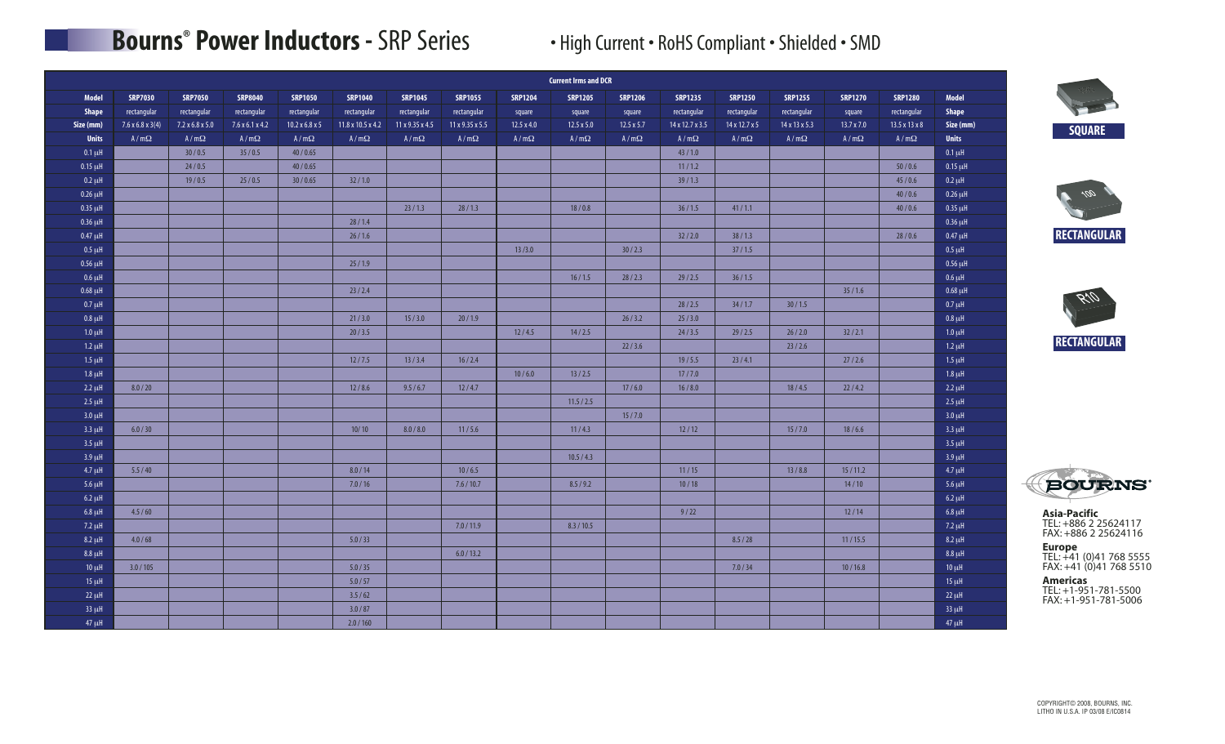# **Bourns<sup>®</sup> Power Inductors - SRP Series • High Current • RoHS Compliant • Shielded • SMD**

|              |                              |                             |                             |                            |                   |                 |                 |                | <b>Current Irms and DCR</b> |                   |                 |                |                |                   |                           |              |
|--------------|------------------------------|-----------------------------|-----------------------------|----------------------------|-------------------|-----------------|-----------------|----------------|-----------------------------|-------------------|-----------------|----------------|----------------|-------------------|---------------------------|--------------|
| Model        | <b>SRP7030</b>               | <b>SRP7050</b>              | <b>SRP8040</b>              | <b>SRP1050</b>             | <b>SRP1040</b>    | <b>SRP1045</b>  | <b>SRP1055</b>  | <b>SRP1204</b> | <b>SRP1205</b>              | <b>SRP1206</b>    | <b>SRP1235</b>  | <b>SRP1250</b> | <b>SRP1255</b> | <b>SRP1270</b>    | <b>SRP1280</b>            | Model        |
| Shape        | rectangular                  | rectangular                 | rectangular                 | rectangular                | rectangular       | rectangular     | rectangular     | square         | square                      | square            | rectangular     | rectangular    | rectangular    | square            | rectangular               | <b>Shape</b> |
| Size (mm)    | $7.6 \times 6.8 \times 3(4)$ | $7.2 \times 6.8 \times 5.0$ | $7.6 \times 6.1 \times 4.2$ | $10.2 \times 6.8 \times 5$ | 11.8 x 10.5 x 4.2 | 11 x 9.35 x 4.5 | 11 x 9.35 x 5.5 | 12.5 x 4.0     | $12.5 \times 5.0$           | $12.5 \times 5.7$ | 14 x 12.7 x 3.5 | 14 x 12.7 x 5  | 14 x 13 x 5.3  | $13.7 \times 7.0$ | $13.5 \times 13 \times 8$ | Size (mm)    |
| <b>Units</b> | $A/m\Omega$                  | $A/m\Omega$                 | $A/m\Omega$                 | $A/m\Omega$                | $A/m\Omega$       | $A/m\Omega$     | $A/m\Omega$     | $A/m\Omega$    | $A/m\Omega$                 | $A/m\Omega$       | $A/m\Omega$     | $A/m\Omega$    | $A/m\Omega$    | $A/m\Omega$       | $A/m\Omega$               | <b>Units</b> |
| $0.1 \mu H$  |                              | 30/0.5                      | 35/0.5                      | 40/0.65                    |                   |                 |                 |                |                             |                   | 43/1.0          |                |                |                   |                           | $0.1 \mu H$  |
| $0.15 \mu H$ |                              | 24/0.5                      |                             | 40/0.65                    |                   |                 |                 |                |                             |                   | 11/1.2          |                |                |                   | 50/0.6                    | $0.15 \mu H$ |
| $0.2 \mu H$  |                              | 19/0.5                      | 25/0.5                      | 30/0.65                    | 32/1.0            |                 |                 |                |                             |                   | 39/1.3          |                |                |                   | 45/0.6                    | $0.2 \mu H$  |
| $0.26 \mu H$ |                              |                             |                             |                            |                   |                 |                 |                |                             |                   |                 |                |                |                   | 40/0.6                    | $0.26 \mu H$ |
| $0.35 \mu H$ |                              |                             |                             |                            |                   | 23/1.3          | 28/1.3          |                | 18/0.8                      |                   | 36/1.5          | 41/1.1         |                |                   | 40/0.6                    | $0.35 \mu H$ |
| $0.36 \mu H$ |                              |                             |                             |                            | 28/1.4            |                 |                 |                |                             |                   |                 |                |                |                   |                           | $0.36 \mu H$ |
| $0.47 \mu H$ |                              |                             |                             |                            | 26/1.6            |                 |                 |                |                             |                   | 32/2.0          | 38/1.3         |                |                   | 28/0.6                    | $0.47 \mu H$ |
| $0.5 \mu H$  |                              |                             |                             |                            |                   |                 |                 | 13/3.0         |                             | 30/2.3            |                 | 37/1.5         |                |                   |                           | $0.5 \mu H$  |
| $0.56 \mu H$ |                              |                             |                             |                            | 25/1.9            |                 |                 |                |                             |                   |                 |                |                |                   |                           | $0.56 \mu H$ |
| $0.6 \mu H$  |                              |                             |                             |                            |                   |                 |                 |                | 16/1.5                      | 28/2.3            | 29/2.5          | 36/1.5         |                |                   |                           | $0.6 \mu H$  |
| $0.68 \mu H$ |                              |                             |                             |                            | 23/2.4            |                 |                 |                |                             |                   |                 |                |                | 35/1.6            |                           | $0.68 \mu H$ |
| $0.7 \mu H$  |                              |                             |                             |                            |                   |                 |                 |                |                             |                   | 28/2.5          | 34/1.7         | 30/1.5         |                   |                           | $0.7 \mu H$  |
| $0.8 \mu H$  |                              |                             |                             |                            | 21/3.0            | 15/3.0          | 20/1.9          |                |                             | 26/3.2            | 25/3.0          |                |                |                   |                           | $0.8 \mu H$  |
| $1.0 \mu$ H  |                              |                             |                             |                            | 20/3.5            |                 |                 | 12/4.5         | 14/2.5                      |                   | 24/3.5          | 29/2.5         | 26/2.0         | 32 / 2.1          |                           | $1.0 \mu H$  |
| $1.2 \mu H$  |                              |                             |                             |                            |                   |                 |                 |                |                             | 22/3.6            |                 |                | 23/2.6         |                   |                           | $1.2 \mu H$  |
| $1.5 \mu H$  |                              |                             |                             |                            | 12/7.5            | 13/3.4          | 16/2.4          |                |                             |                   | 19/5.5          | 23/4.1         |                | 27/2.6            |                           | $1.5 \mu H$  |
| $1.8 \mu H$  |                              |                             |                             |                            |                   |                 |                 | 10/6.0         | 13/2.5                      |                   | 17/7.0          |                |                |                   |                           | $1.8 \mu H$  |
| $2.2 \mu H$  | 8.0 / 20                     |                             |                             |                            | 12/8.6            | 9.5/6.7         | 12/4.7          |                |                             | 17/6.0            | 16/8.0          |                | 18/4.5         | 22/4.2            |                           | $2.2 \mu H$  |
| $2.5 \mu H$  |                              |                             |                             |                            |                   |                 |                 |                | 11.5 / 2.5                  |                   |                 |                |                |                   |                           | $2.5 \mu H$  |
| $3.0 \mu H$  |                              |                             |                             |                            |                   |                 |                 |                |                             | 15/7.0            |                 |                |                |                   |                           | $3.0 \mu H$  |
| $3.3 \mu H$  | 6.0 / 30                     |                             |                             |                            | 10/10             | 8.0 / 8.0       | 11/5.6          |                | 11/4.3                      |                   | 12/12           |                | 15/7.0         | 18/6.6            |                           | $3.3 \mu H$  |
| $3.5 \mu H$  |                              |                             |                             |                            |                   |                 |                 |                |                             |                   |                 |                |                |                   |                           | $3.5 \mu H$  |
| $3.9 \mu H$  |                              |                             |                             |                            |                   |                 |                 |                | 10.5 / 4.3                  |                   |                 |                |                |                   |                           | $3.9 \mu H$  |
| $4.7 \mu H$  | 5.5/40                       |                             |                             |                            | 8.0 / 14          |                 | 10/6.5          |                |                             |                   | 11/15           |                | 13/8.8         | 15/11.2           |                           | $4.7 \mu H$  |
| $5.6 \mu H$  |                              |                             |                             |                            | 7.0 / 16          |                 | 7.6 / 10.7      |                | 8.5/9.2                     |                   | 10/18           |                |                | 14/10             |                           | $5.6 \mu H$  |
| $6.2 \mu H$  |                              |                             |                             |                            |                   |                 |                 |                |                             |                   |                 |                |                |                   |                           | $6.2 \mu H$  |
| $6.8 \mu H$  | 4.5/60                       |                             |                             |                            |                   |                 |                 |                |                             |                   | 9/22            |                |                | 12/14             |                           | $6.8 \mu H$  |
| $7.2 \mu H$  |                              |                             |                             |                            |                   |                 | 7.0 / 11.9      |                | 8.3 / 10.5                  |                   |                 |                |                |                   |                           | $7.2 \mu H$  |
| $8.2 \mu H$  | 4.0 / 68                     |                             |                             |                            | 5.0 / 33          |                 |                 |                |                             |                   |                 | 8.5 / 28       |                | 11/15.5           |                           | $8.2 \mu H$  |
| $8.8 \mu H$  |                              |                             |                             |                            |                   |                 | 6.0 / 13.2      |                |                             |                   |                 |                |                |                   |                           | $8.8 \mu H$  |
| $10 \mu$ H   | 3.0 / 105                    |                             |                             |                            | 5.0 / 35          |                 |                 |                |                             |                   |                 | 7.0 / 34       |                | 10/16.8           |                           | $10 \mu H$   |
| $15 \mu H$   |                              |                             |                             |                            | 5.0 / 57          |                 |                 |                |                             |                   |                 |                |                |                   |                           | $15 \mu H$   |
| $22 \mu H$   |                              |                             |                             |                            | 3.5/62            |                 |                 |                |                             |                   |                 |                |                |                   |                           | $22 \mu H$   |
| $33 \mu H$   |                              |                             |                             |                            | 3.0 / 87          |                 |                 |                |                             |                   |                 |                |                |                   |                           | $33 \mu H$   |
| $47 \mu H$   |                              |                             |                             |                            | 2.0 / 160         |                 |                 |                |                             |                   |                 |                |                |                   |                           | $47 \mu H$   |









**Asia-Pacific** TEL: +886 2 25624117 FAX: +886 2 25624116

**Europe**<br>TEL: +41 (0)41 768 5555 FAX: +41 (0)41 768 5510

**Americas** TEL: +1-951-781-5500 FAX: +1-951-781-5006